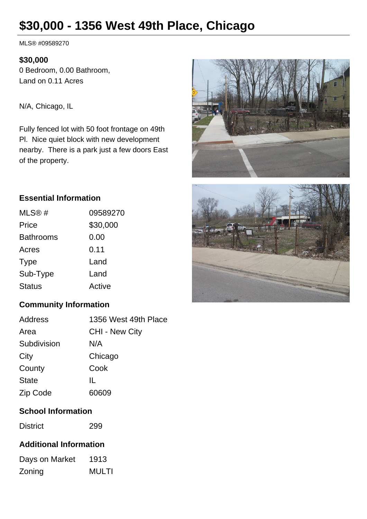# **\$30,000 - 1356 West 49th Place, Chicago**

MLS® #09589270

#### **\$30,000**

0 Bedroom, 0.00 Bathroom, Land on 0.11 Acres

N/A, Chicago, IL

Fully fenced lot with 50 foot frontage on 49th Pl. Nice quiet block with new development nearby. There is a park just a few doors East of the property.





#### **Essential Information**

| MLS@#            | 09589270 |
|------------------|----------|
| Price            | \$30,000 |
| <b>Bathrooms</b> | 0.00     |
| Acres            | 0.11     |
| <b>Type</b>      | Land     |
| Sub-Type         | Land     |
| <b>Status</b>    | Active   |

# **Community Information**

| Address      | 1356 West 49th Place  |
|--------------|-----------------------|
| Area         | <b>CHI - New City</b> |
| Subdivision  | N/A                   |
| City         | Chicago               |
| County       | Cook                  |
| <b>State</b> | Ш.                    |
| Zip Code     | 60609                 |

# **School Information**

District 299

### **Additional Information**

| Days on Market | 1913         |
|----------------|--------------|
| Zoning         | <b>MULTI</b> |